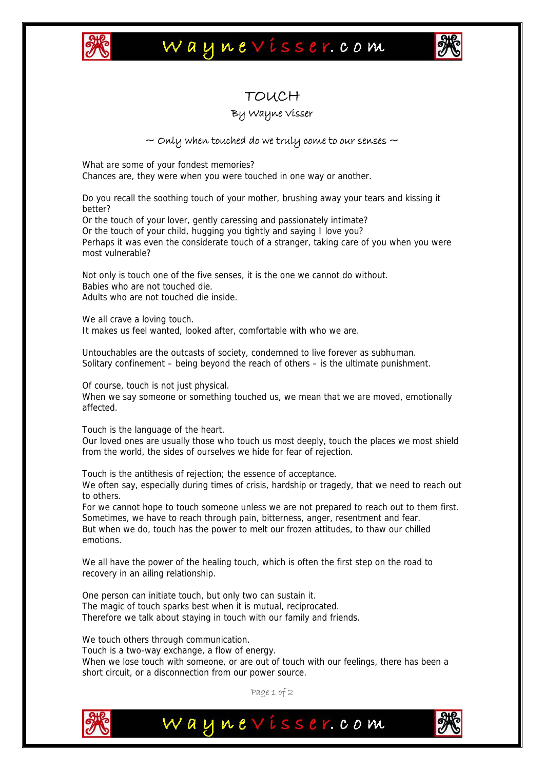

## Waynevisser.com



### TOUCH

#### By Wayne Visser

#### $\sim$  Only when touched do we truly come to our senses  $\sim$

What are some of your fondest memories? Chances are, they were when you were touched in one way or another.

Do you recall the soothing touch of your mother, brushing away your tears and kissing it better?

Or the touch of your lover, gently caressing and passionately intimate? Or the touch of your child, hugging you tightly and saying I love you? Perhaps it was even the considerate touch of a stranger, taking care of you when you were most vulnerable?

Not only is touch one of the five senses, it is the one we cannot do without. Babies who are not touched die. Adults who are not touched die inside.

We all crave a loving touch. It makes us feel wanted, looked after, comfortable with who we are.

Untouchables are the outcasts of society, condemned to live forever as subhuman. Solitary confinement – being beyond the reach of others – is the ultimate punishment.

Of course, touch is not just physical.

When we say someone or something touched us, we mean that we are moved, emotionally affected.

Touch is the language of the heart.

Our loved ones are usually those who touch us most deeply, touch the places we most shield from the world, the sides of ourselves we hide for fear of rejection.

Touch is the antithesis of rejection; the essence of acceptance. We often say, especially during times of crisis, hardship or tragedy, that we need to reach out to others.

For we cannot hope to touch someone unless we are not prepared to reach out to them first. Sometimes, we have to reach through pain, bitterness, anger, resentment and fear. But when we do, touch has the power to melt our frozen attitudes, to thaw our chilled emotions.

We all have the power of the healing touch, which is often the first step on the road to recovery in an ailing relationship.

One person can initiate touch, but only two can sustain it. The magic of touch sparks best when it is mutual, reciprocated. Therefore we talk about staying in touch with our family and friends.

We touch others through communication.

Touch is a two-way exchange, a flow of energy. When we lose touch with someone, or are out of touch with our feelings, there has been a short circuit, or a disconnection from our power source.

Page 1 of 2

Waynevisser.com